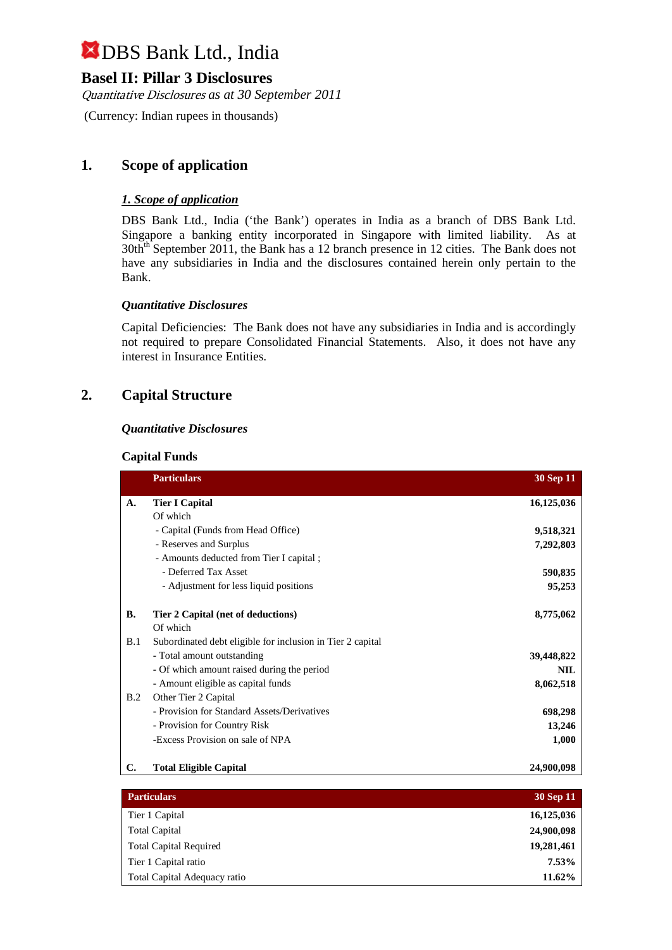## **Basel II: Pillar 3 Disclosures**

Quantitative Disclosures *as at 30 September 2011*

(Currency: Indian rupees in thousands)

## **1. Scope of application**

### *1. Scope of application*

DBS Bank Ltd., India ('the Bank') operates in India as a branch of DBS Bank Ltd. Singapore a banking entity incorporated in Singapore with limited liability. As at 30th<sup>th</sup> September 2011, the Bank has a 12 branch presence in 12 cities. The Bank does not have any subsidiaries in India and the disclosures contained herein only pertain to the Bank.

### *Quantitative Disclosures*

Capital Deficiencies: The Bank does not have any subsidiaries in India and is accordingly not required to prepare Consolidated Financial Statements. Also, it does not have any interest in Insurance Entities.

# **2. Capital Structure**

### *Quantitative Disclosures*

#### **Capital Funds**

|           | <b>Particulars</b>                                         | <b>30 Sep 11</b> |
|-----------|------------------------------------------------------------|------------------|
| A.        | <b>Tier I Capital</b>                                      | 16,125,036       |
|           | Of which                                                   |                  |
|           | - Capital (Funds from Head Office)                         | 9,518,321        |
|           | - Reserves and Surplus                                     | 7,292,803        |
|           | - Amounts deducted from Tier I capital;                    |                  |
|           | - Deferred Tax Asset                                       | 590,835          |
|           | - Adjustment for less liquid positions                     | 95,253           |
| <b>B.</b> | Tier 2 Capital (net of deductions)                         | 8,775,062        |
|           | Of which                                                   |                  |
| B.1       | Subordinated debt eligible for inclusion in Tier 2 capital |                  |
|           | - Total amount outstanding                                 | 39,448,822       |
|           | - Of which amount raised during the period                 | <b>NIL</b>       |
|           | - Amount eligible as capital funds                         | 8,062,518        |
| B.2       | Other Tier 2 Capital                                       |                  |
|           | - Provision for Standard Assets/Derivatives                | 698,298          |
|           | - Provision for Country Risk                               | 13,246           |
|           | -Excess Provision on sale of NPA                           | 1,000            |
| C.        | <b>Total Eligible Capital</b>                              | 24,900,098       |

| <b>Particulars</b>            | 30 Sep 11  |
|-------------------------------|------------|
| Tier 1 Capital                | 16,125,036 |
| <b>Total Capital</b>          | 24,900,098 |
| <b>Total Capital Required</b> | 19,281,461 |
| Tier 1 Capital ratio          | 7.53%      |
| Total Capital Adequacy ratio  | 11.62%     |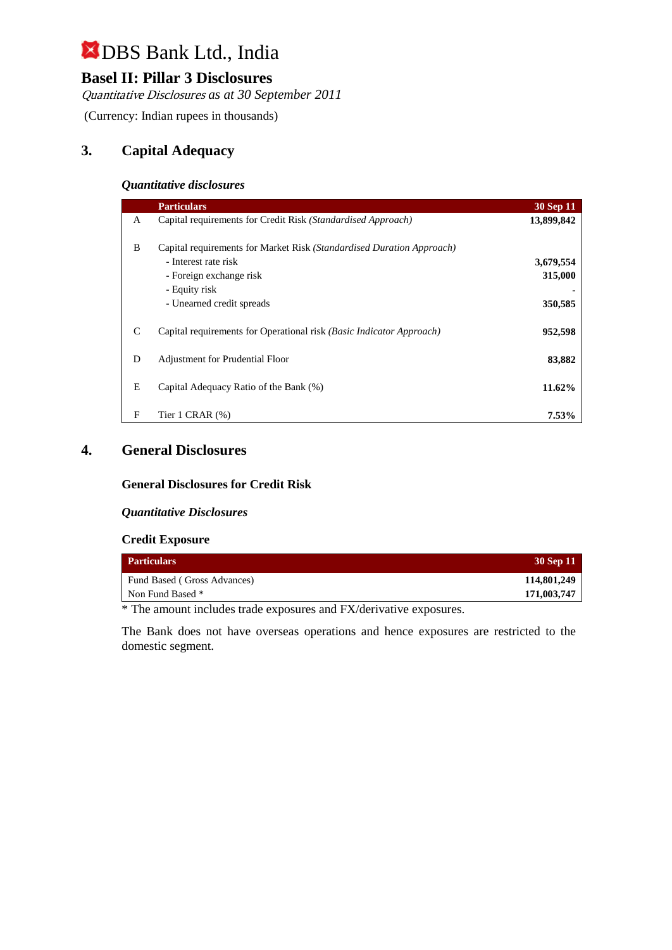# **Basel II: Pillar 3 Disclosures**

Quantitative Disclosures *as at 30 September 2011*

(Currency: Indian rupees in thousands)

## **3. Capital Adequacy**

#### *Quantitative disclosures*

|   | <b>Particulars</b>                                                    | 30 Sep 11  |
|---|-----------------------------------------------------------------------|------------|
| A | Capital requirements for Credit Risk (Standardised Approach)          | 13,899,842 |
| B | Capital requirements for Market Risk (Standardised Duration Approach) |            |
|   | - Interest rate risk                                                  | 3,679,554  |
|   | - Foreign exchange risk                                               | 315,000    |
|   | - Equity risk                                                         |            |
|   | - Unearned credit spreads                                             | 350,585    |
| C | Capital requirements for Operational risk (Basic Indicator Approach)  | 952,598    |
| D | <b>Adjustment for Prudential Floor</b>                                | 83,882     |
| E | Capital Adequacy Ratio of the Bank (%)                                | 11.62%     |
| F | Tier $1$ CRAR $(\%)$                                                  | 7.53%      |

### **4. General Disclosures**

### **General Disclosures for Credit Risk**

#### *Quantitative Disclosures*

#### **Credit Exposure**

| <b>Particulars</b>          | 30 Sep 11   |
|-----------------------------|-------------|
| Fund Based (Gross Advances) | 114,801,249 |
| Non Fund Based *            | 171,003,747 |

\* The amount includes trade exposures and FX/derivative exposures.

The Bank does not have overseas operations and hence exposures are restricted to the domestic segment.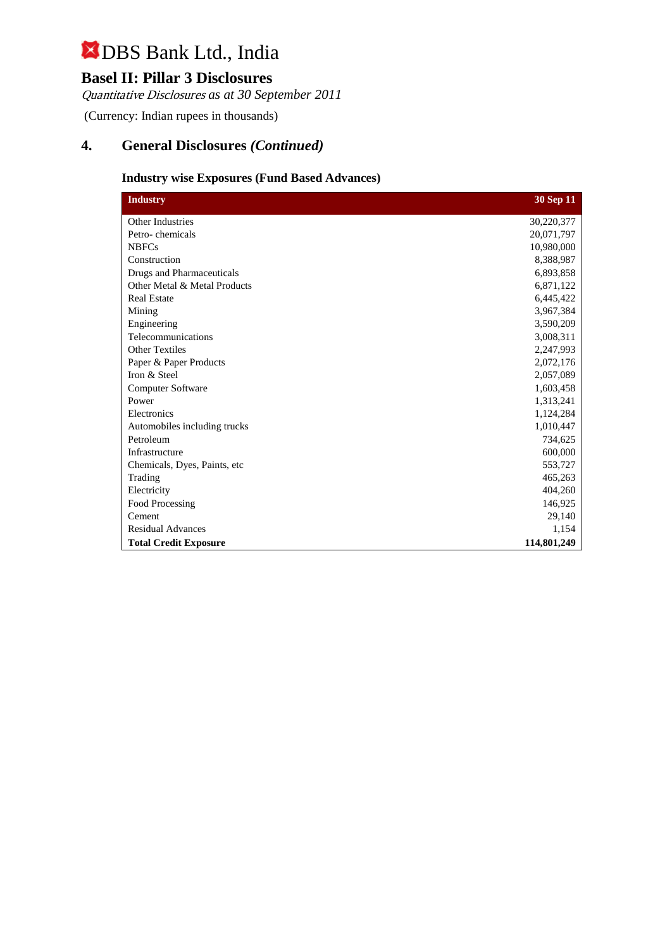# **Basel II: Pillar 3 Disclosures**

Quantitative Disclosures *as at 30 September 2011*

(Currency: Indian rupees in thousands)

# **4. General Disclosures** *(Continued)*

### **Industry wise Exposures (Fund Based Advances)**

| <b>Industry</b>               | 30 Sep 11   |
|-------------------------------|-------------|
| Other Industries              | 30,220,377  |
| Petro-chemicals               | 20,071,797  |
| <b>NBFCs</b>                  | 10,980,000  |
| Construction                  | 8,388,987   |
| Drugs and Pharmaceuticals     | 6,893,858   |
| Other Metal & Metal Products  | 6,871,122   |
| <b>Real Estate</b>            | 6,445,422   |
| Mining                        | 3,967,384   |
| Engineering                   | 3,590,209   |
| Telecommunications            | 3,008,311   |
| <b>Other Textiles</b>         | 2,247,993   |
| Paper & Paper Products        | 2,072,176   |
| Iron & Steel                  | 2,057,089   |
| <b>Computer Software</b>      | 1,603,458   |
| Power                         | 1,313,241   |
| Electronics                   | 1,124,284   |
| Automobiles including trucks  | 1,010,447   |
| Petroleum                     | 734,625     |
| Infrastructure                | 600,000     |
| Chemicals, Dyes, Paints, etc. | 553,727     |
| Trading                       | 465,263     |
| Electricity                   | 404,260     |
| Food Processing               | 146,925     |
| Cement                        | 29,140      |
| <b>Residual Advances</b>      | 1,154       |
| <b>Total Credit Exposure</b>  | 114,801,249 |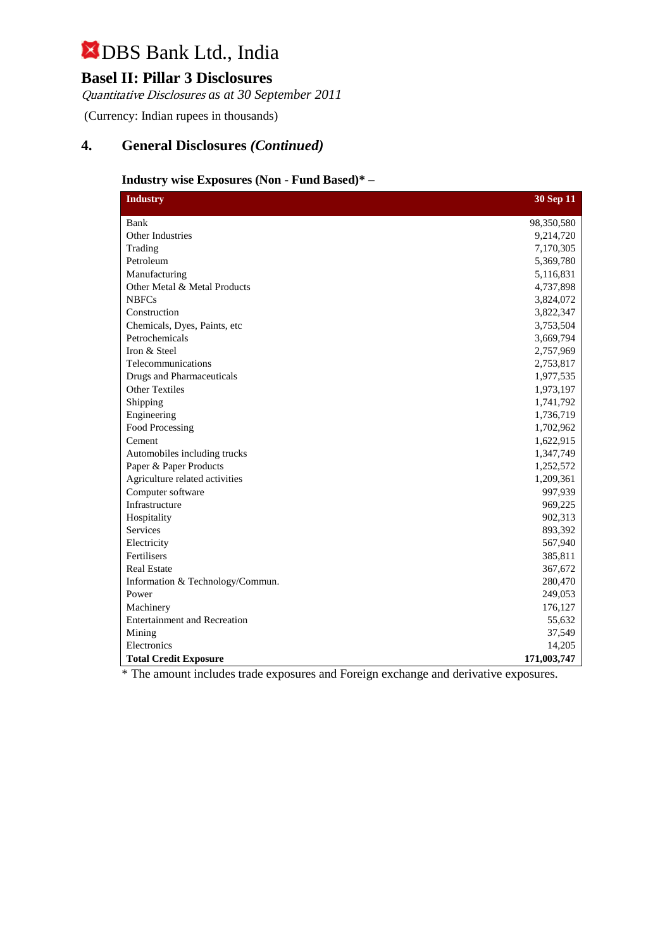# **Basel II: Pillar 3 Disclosures**

Quantitative Disclosures *as at 30 September 2011*

(Currency: Indian rupees in thousands)

# **4. General Disclosures** *(Continued)*

### **Industry wise Exposures (Non - Fund Based)\* –**

| <b>Industry</b>                  | 30 Sep 11   |
|----------------------------------|-------------|
| Bank                             | 98,350,580  |
| <b>Other Industries</b>          | 9,214,720   |
| Trading                          | 7,170,305   |
| Petroleum                        | 5,369,780   |
| Manufacturing                    | 5,116,831   |
| Other Metal & Metal Products     | 4,737,898   |
| <b>NBFCs</b>                     | 3,824,072   |
| Construction                     | 3,822,347   |
| Chemicals, Dyes, Paints, etc     | 3,753,504   |
| Petrochemicals                   | 3,669,794   |
| Iron & Steel                     | 2,757,969   |
| Telecommunications               | 2,753,817   |
| <b>Drugs and Pharmaceuticals</b> | 1,977,535   |
| <b>Other Textiles</b>            | 1,973,197   |
| Shipping                         | 1,741,792   |
| Engineering                      | 1,736,719   |
| Food Processing                  | 1,702,962   |
| Cement                           | 1,622,915   |
| Automobiles including trucks     | 1,347,749   |
| Paper & Paper Products           | 1,252,572   |
| Agriculture related activities   | 1,209,361   |
| Computer software                | 997,939     |
| Infrastructure                   | 969,225     |
| Hospitality                      | 902,313     |
| Services                         | 893,392     |
| Electricity                      | 567,940     |
| Fertilisers                      | 385,811     |
| <b>Real Estate</b>               | 367,672     |
| Information & Technology/Commun. | 280,470     |
| Power                            | 249,053     |
| Machinery                        | 176,127     |
| Entertainment and Recreation     | 55,632      |
| Mining                           | 37,549      |
| Electronics                      | 14,205      |
| <b>Total Credit Exposure</b>     | 171,003,747 |

\* The amount includes trade exposures and Foreign exchange and derivative exposures.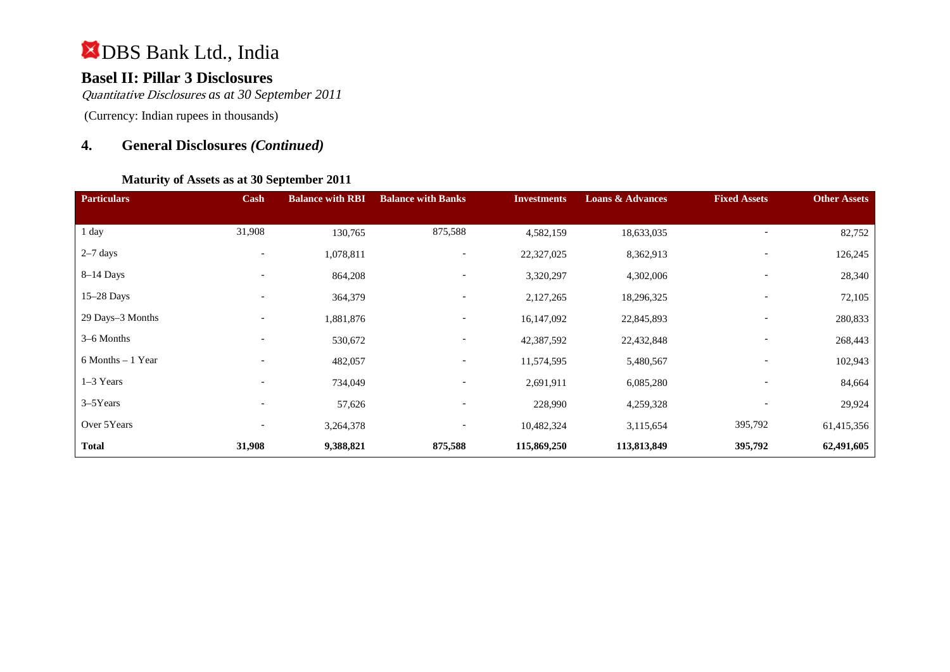# **Basel II: Pillar 3 Disclosures**

Quantitative Disclosures *as at 30 September 2011*

(Currency: Indian rupees in thousands)

# **4. General Disclosures** *(Continued)*

### **Maturity of Assets as at 30 September 2011**

| <b>Particulars</b>   | Cash                     | <b>Balance with RBI</b> | <b>Balance with Banks</b> | <b>Investments</b> | <b>Loans &amp; Advances</b> | <b>Fixed Assets</b>      | <b>Other Assets</b> |
|----------------------|--------------------------|-------------------------|---------------------------|--------------------|-----------------------------|--------------------------|---------------------|
|                      |                          |                         |                           |                    |                             |                          |                     |
| 1 day                | 31,908                   | 130,765                 | 875,588                   | 4,582,159          | 18,633,035                  |                          | 82,752              |
| $2-7$ days           | $\overline{\phantom{0}}$ | 1,078,811               | $\overline{\phantom{a}}$  | 22,327,025         | 8,362,913                   |                          | 126,245             |
| $8-14$ Days          |                          | 864,208                 | $\overline{\phantom{a}}$  | 3,320,297          | 4,302,006                   |                          | 28,340              |
| $15-28$ Days         |                          | 364,379                 | $\overline{\phantom{a}}$  | 2,127,265          | 18,296,325                  |                          | 72,105              |
| 29 Days-3 Months     | $\overline{\phantom{a}}$ | 1,881,876               | $\overline{\phantom{a}}$  | 16,147,092         | 22,845,893                  | $\overline{\phantom{a}}$ | 280,833             |
| 3-6 Months           |                          | 530,672                 | $\overline{\phantom{a}}$  | 42,387,592         | 22,432,848                  |                          | 268,443             |
| $6$ Months $-1$ Year |                          | 482,057                 | $\overline{\phantom{a}}$  | 11,574,595         | 5,480,567                   |                          | 102,943             |
| $1-3$ Years          |                          | 734,049                 | $\overline{\phantom{a}}$  | 2,691,911          | 6,085,280                   |                          | 84,664              |
| $3-5$ Years          | $\overline{\phantom{0}}$ | 57,626                  | $\overline{\phantom{a}}$  | 228,990            | 4,259,328                   |                          | 29,924              |
| Over 5Years          |                          | 3,264,378               | $\overline{\phantom{a}}$  | 10,482,324         | 3,115,654                   | 395,792                  | 61,415,356          |
| <b>Total</b>         | 31,908                   | 9,388,821               | 875,588                   | 115,869,250        | 113,813,849                 | 395,792                  | 62,491,605          |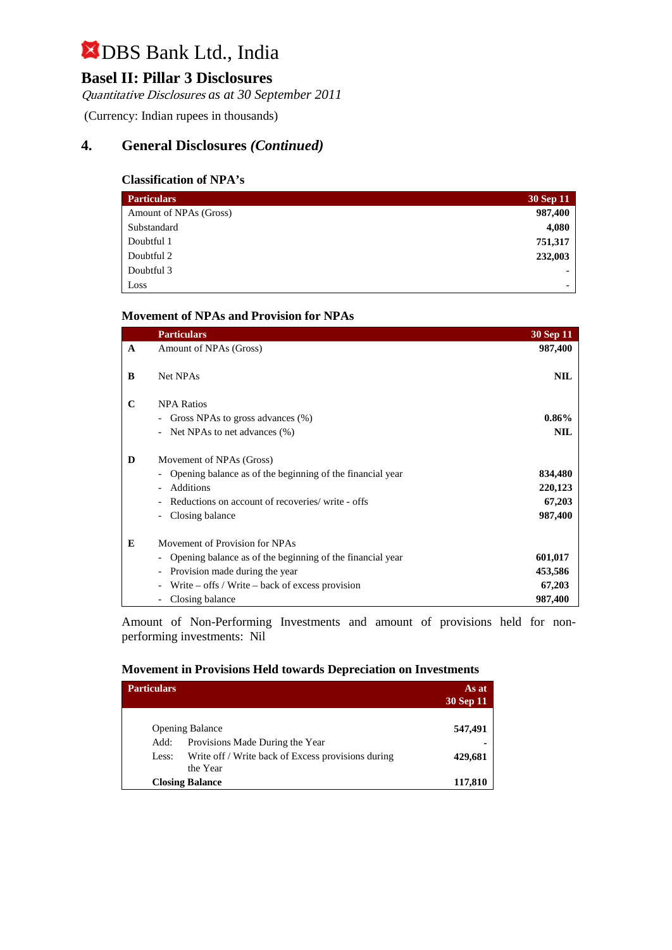# **Basel II: Pillar 3 Disclosures**

Quantitative Disclosures *as at 30 September 2011*

(Currency: Indian rupees in thousands)

# **4. General Disclosures** *(Continued)*

### **Classification of NPA's**

| <b>Particulars</b>     | 30 Sep 11                |
|------------------------|--------------------------|
| Amount of NPAs (Gross) | 987,400                  |
| Substandard            | 4,080                    |
| Doubtful 1             | 751,317                  |
| Doubtful 2             | 232,003                  |
| Doubtful 3             | $\overline{\phantom{0}}$ |
| Loss                   | $\overline{\phantom{0}}$ |

### **Movement of NPAs and Provision for NPAs**

|              | <b>Particulars</b>                                                              | 30 Sep 11  |
|--------------|---------------------------------------------------------------------------------|------------|
| $\mathbf{A}$ | Amount of NPAs (Gross)                                                          | 987,400    |
|              |                                                                                 |            |
| B            | Net NPAs                                                                        | <b>NIL</b> |
|              |                                                                                 |            |
| C            | <b>NPA Ratios</b>                                                               |            |
|              | Gross NPAs to gross advances (%)<br>$\overline{\phantom{a}}$                    | $0.86\%$   |
|              | Net NPAs to net advances (%)                                                    | <b>NIL</b> |
| D            | Movement of NPAs (Gross)                                                        |            |
|              | Opening balance as of the beginning of the financial year                       | 834,480    |
|              | Additions                                                                       | 220,123    |
|              | Reductions on account of recoveries/ write - offs                               | 67,203     |
|              | Closing balance                                                                 | 987,400    |
| E            | Movement of Provision for NPAs                                                  |            |
|              | Opening balance as of the beginning of the financial year                       | 601,017    |
|              | Provision made during the year<br>$\overline{\phantom{a}}$                      | 453,586    |
|              | Write $-$ offs / Write $-$ back of excess provision<br>$\overline{\phantom{a}}$ | 67,203     |
|              | Closing balance                                                                 | 987,400    |

Amount of Non-Performing Investments and amount of provisions held for nonperforming investments:Nil

#### **Movement in Provisions Held towards Depreciation on Investments**

| <b>Particulars</b> | As at<br>30 Sep 11                                             |         |
|--------------------|----------------------------------------------------------------|---------|
|                    | <b>Opening Balance</b>                                         | 547,491 |
| Add:               | Provisions Made During the Year                                |         |
| Less:              | Write off / Write back of Excess provisions during<br>the Year | 429,681 |
|                    | <b>Closing Balance</b>                                         | 117,810 |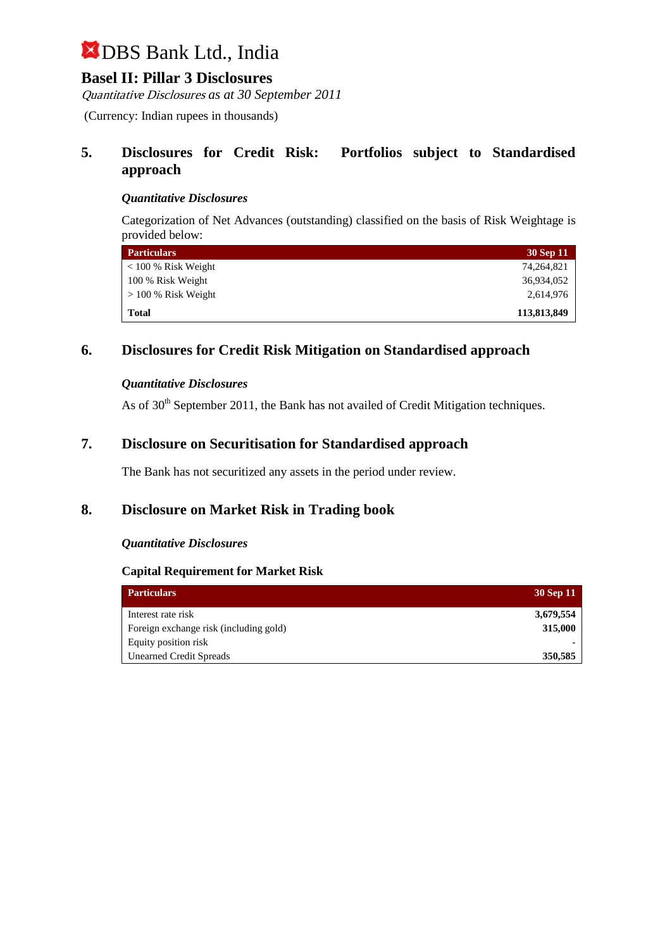## **Basel II: Pillar 3 Disclosures**

Quantitative Disclosures *as at 30 September 2011*

(Currency: Indian rupees in thousands)

### **5. Disclosures for Credit Risk: Portfolios subject to Standardised approach**

### *Quantitative Disclosures*

Categorization of Net Advances (outstanding) classified on the basis of Risk Weightage is provided below:

| <b>Particulars</b>    | 30 Sep 11   |
|-----------------------|-------------|
| $<$ 100 % Risk Weight | 74,264,821  |
| 100 % Risk Weight     | 36,934,052  |
| $>100\%$ Risk Weight  | 2,614,976   |
| <b>Total</b>          | 113,813,849 |

## **6. Disclosures for Credit Risk Mitigation on Standardised approach**

### *Quantitative Disclosures*

As of  $30<sup>th</sup>$  September 2011, the Bank has not availed of Credit Mitigation techniques.

## **7. Disclosure on Securitisation for Standardised approach**

The Bank has not securitized any assets in the period under review.

## **8. Disclosure on Market Risk in Trading book**

### *Quantitative Disclosures*

### **Capital Requirement for Market Risk**

| <b>Particulars</b>                     | 30 Sep 11 |
|----------------------------------------|-----------|
| Interest rate risk                     | 3,679,554 |
| Foreign exchange risk (including gold) | 315,000   |
| Equity position risk                   |           |
| <b>Unearned Credit Spreads</b>         | 350,585   |